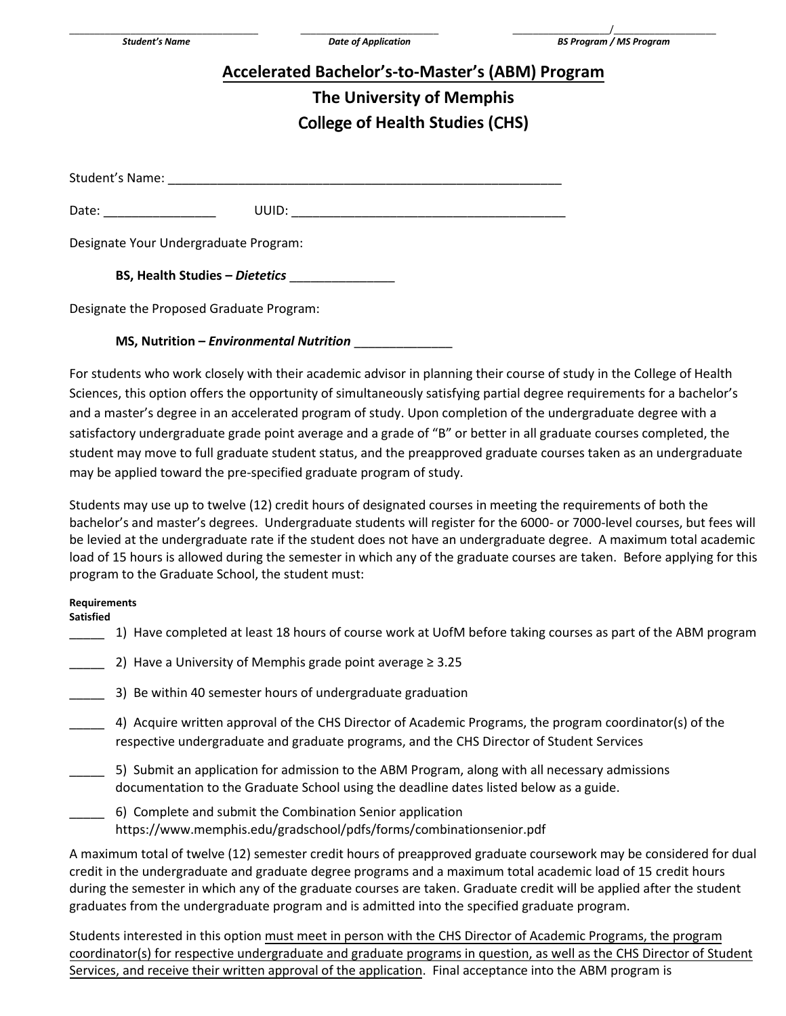| Accelerated Bachelor's-to-Master's (ABM) Program |  |  |  |  |
|--------------------------------------------------|--|--|--|--|
|                                                  |  |  |  |  |

## **The University of Memphis**  College **of Health Studies (**C**HS)**

Student's Name:

Date: \_\_\_\_\_\_\_\_\_\_\_\_\_\_\_\_ UUID: \_\_\_\_\_\_\_\_\_\_\_\_\_\_\_\_\_\_\_\_\_\_\_\_\_\_\_\_\_\_\_\_\_\_\_\_\_\_\_

Designate Your Undergraduate Program:

**BS, Health Studies –** *Dietetics* \_\_\_\_\_\_\_\_\_\_\_\_\_\_\_

Designate the Proposed Graduate Program:

**MS, Nutrition –** *Environmental Nutrition* \_\_\_\_\_\_\_\_\_\_\_\_\_\_

For students who work closely with their academic advisor in planning their course of study in the College of Health Sciences, this option offers the opportunity of simultaneously satisfying partial degree requirements for a bachelor's and a master's degree in an accelerated program of study. Upon completion of the undergraduate degree with a satisfactory undergraduate grade point average and a grade of "B" or better in all graduate courses completed, the student may move to full graduate student status, and the preapproved graduate courses taken as an undergraduate may be applied toward the pre-specified graduate program of study.

Students may use up to twelve (12) credit hours of designated courses in meeting the requirements of both the bachelor's and master's degrees. Undergraduate students will register for the 6000- or 7000-level courses, but fees will be levied at the undergraduate rate if the student does not have an undergraduate degree. A maximum total academic load of 15 hours is allowed during the semester in which any of the graduate courses are taken. Before applying for this program to the Graduate School, the student must:

## **Requirements**

**Satisfied** 

\_\_\_\_\_ 1) Have completed at least 18 hours of course work at UofM before taking courses as part of the ABM program

- 2) Have a University of Memphis grade point average  $\geq 3.25$
- \_\_\_\_\_ 3) Be within 40 semester hours of undergraduate graduation
- \_\_\_\_\_ 4) Acquire written approval of the CHS Director of Academic Programs, the program coordinator(s) of the respective undergraduate and graduate programs, and the CHS Director of Student Services
- 5) Submit an application for admission to the ABM Program, along with all necessary admissions documentation to the Graduate School using the deadline dates listed below as a guide.
- \_\_\_\_\_ 6) Complete and submit the Combination Senior application https://www.memphis.edu/gradschool/pdfs/forms/combinationsenior.pdf

A maximum total of twelve (12) semester credit hours of preapproved graduate coursework may be considered for dual credit in the undergraduate and graduate degree programs and a maximum total academic load of 15 credit hours during the semester in which any of the graduate courses are taken. Graduate credit will be applied after the student graduates from the undergraduate program and is admitted into the specified graduate program.

Students interested in this option must meet in person with the CHS Director of Academic Programs, the program coordinator(s) for respective undergraduate and graduate programs in question, as well as the CHS Director of Student Services, and receive their written approval of the application. Final acceptance into the ABM program is